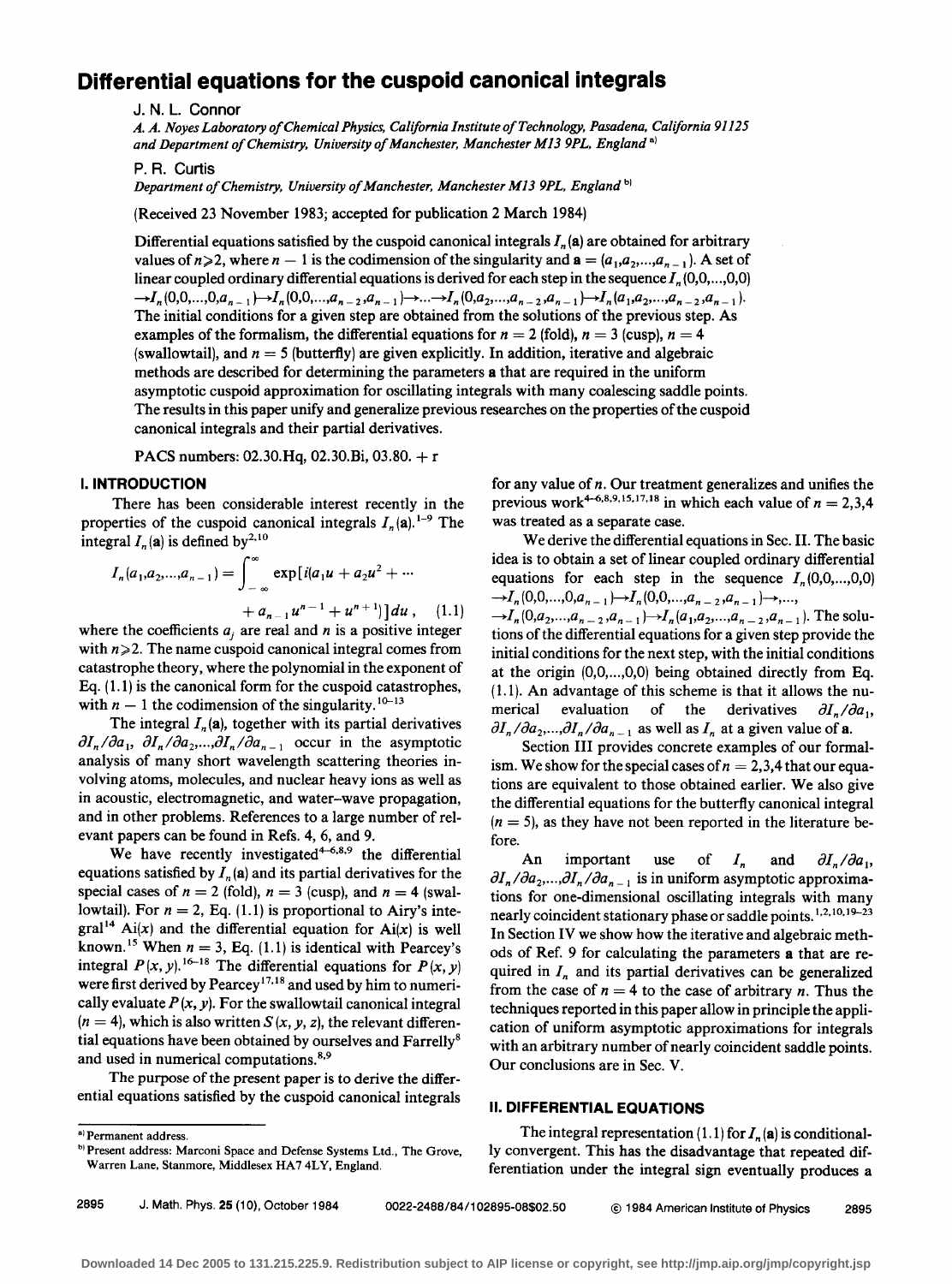# **Differential equations for the cuspoid canonical integrals**

J. N. L. Connor

*A. A. Noyes Laboratory of Chemical Physics, California Institute of Technology, Pasadena, California 91125*  and Department of Chemistry, University of Manchester, Manchester M13 9PL, England<sup>a)</sup>

P.R. Curtis

*Department of Chemistry, University of Manchester, Manchester M13 9PL, England* b)

(Received 23 November 1983; accepted for publication 2 March 1984)

Differential equations satisfied by the cuspoid canonical integrals *In* (a) are obtained for arbitrary values of  $n\geqslant 2$ , where  $n-1$  is the codimension of the singularity and  $\mathbf{a}=(a_1,a_2,...,a_{n-1})$ . A set of linear coupled ordinary differential equations is derived for each step in the sequence  $I_n(0,0,...,0,0)$  $\rightarrow I_n(0,0,...,0,a_{n-1}) \rightarrow I_n(0,0,...,a_{n-2},a_{n-1}) \rightarrow ... \rightarrow I_n(0,a_2,...,a_{n-2},a_{n-1}) \rightarrow I_n(a_1,a_2,...,a_{n-2},a_{n-1}).$ The initial conditions for a given step are obtained from the solutions of the previous step. As examples of the formalism, the differential equations for  $n = 2$  (fold),  $n = 3$  (cusp),  $n = 4$ (swallowtail), and  $n = 5$  (butterfly) are given explicitly. In addition, iterative and algebraic methods are described for determining the parameters a that are required in the uniform asymptotic cuspoid approximation for oscillating integrals with many coalescing saddle points. The results in this paper unify and generalize previous researches on the properties of the cuspoid canonical integrals and their partial derivatives.

PACS numbers: 02.30.Hq, 02.30.Bi, 03.80. + <sup>r</sup>

## I. **INTRODUCTION**

There has been considerable interest recently in the properties of the cuspoid canonical integrals  $I_n(\mathbf{a})$ . <sup>1-9</sup> The integral  $I_n(\mathbf{a})$  is defined by<sup>2,10</sup>

$$
I_n(a_1, a_2,..., a_{n-1}) = \int_{-\infty}^{\infty} \exp[i(a_1u + a_2u^2 + \cdots + a_{n-1}u^{n-1} + u^{n+1})] du , \quad (1.1)
$$

where the coefficients  $a_i$  are real and n is a positive integer with  $n\geq 2$ . The name cuspoid canonical integral comes from catastrophe theory, where the polynomial in the exponent of Eq.  $(1.1)$  is the canonical form for the cuspoid catastrophes, with  $n-1$  the codimension of the singularity.<sup>10-13</sup>

The integral  $I_n(\mathbf{a})$ , together with its partial derivatives  $\partial I_n/\partial a_1$ ,  $\partial I_n/\partial a_2$ ,..., $\partial I_n/\partial a_{n-1}$  occur in the asymptotic analysis of many short wavelength scattering theories involving atoms, molecules, and nuclear heavy ions as well as in acoustic, electromagnetic, and water-wave propagation, and in other problems. References to a large number of relevant papers can be found in Refs. 4, 6, and 9.

We have recently investigated $4-6.8$ , the differential equations satisfied by  $I_n(\mathbf{a})$  and its partial derivatives for the special cases of  $n = 2$  (fold),  $n = 3$  (cusp), and  $n = 4$  (swallowtail). For  $n = 2$ , Eq. (1.1) is proportional to Airy's inte- $\text{gral}^{14}$  Ai(x) and the differential equation for Ai(x) is well known.<sup>15</sup> When  $n = 3$ , Eq. (1.1) is identical with Pearcey's integral  $P(x, y)$ . <sup>16-18</sup> The differential equations for  $P(x, y)$ were first derived by Pearcey<sup>17,18</sup> and used by him to numerically evaluate  $P(x, y)$ . For the swallowtail canonical integral  $(n = 4)$ , which is also written *S*  $(x, y, z)$ , the relevant differential equations have been obtained by ourselves and Farrelly<sup>8</sup> and used in numerical computations.<sup>8,9</sup>

The purpose of the present paper is to derive the differential equations satisfied by the cuspoid canonical integrals

2895 J. Math. Phys. 25 (10), October 1984 0022-2488/84/102895-08\$02.50 @ 1984 American Institute of Physics 2895

for any value of *n.* Our treatment generalizes and unifies the previous work<sup>4-6,8,9,15,17,18</sup> in which each value of  $n = 2,3,4$ was treated as a separate case.

We derive the differential equations in Sec. II. The basic idea is to obtain a set of linear coupled ordinary differential equations for each step in the sequence  $I_n(0,0,...,0,0)$  $\rightarrow I_n (0,0,...,0,a_{n-1}) \rightarrow I_n (0,0,...,a_{n-2},a_{n-1}) \rightarrow ...$  $-I_n(0,a_2,...,a_{n-2},a_{n-1})$   $\rightarrow$   $I_n(a_1,a_2,...,a_{n-2},a_{n-1})$ . The solutions of the differential equations for a given step provide the initial conditions for the next step, with the initial conditions at the origin  $(0,0, \ldots, 0,0)$  being obtained directly from Eq.  $(1.1)$ . An advantage of this scheme is that it allows the numerical evaluation of the derivatives  $\partial I_n / \partial a_1$ ,  $\partial I_n/\partial a_2,...,\partial I_n/\partial a_{n-1}$  as well as  $I_n$  at a given value of a.

Section III provides concrete examples of our formalism. We show for the special cases of  $n = 2,3,4$  that our equations are equivalent to those obtained earlier. We also give the differential equations for the butterfly canonical integral  $(n = 5)$ , as they have not been reported in the literature before.

An important use of  $I_n$  and  $\partial I_n/\partial a_1$ ,  $\partial I_n / \partial a_2,..., \partial I_n / \partial a_{n-1}$  is in uniform asymptotic approximations for one-dimensional oscillating integrals with many nearly coincident stationary phase or saddle points.<sup>1,2,10,19–23</sup> In Section IV we show how the iterative and algebraic methods of Ref. 9 for calculating the parameters a that are required in  $I_n$  and its partial derivatives can be generalized from the case of  $n = 4$  to the case of arbitrary *n*. Thus the techniques reported in this paper allow in principle the application of uniform asymptotic approximations for integrals with an arbitrary number of nearly coincident saddle points. Our conclusions are in Sec. V.

### II. **DIFFERENTIAL EQUATIONS**

The integral representation  $(1.1)$  for  $I_n$  (a) is conditionally convergent. This has the disadvantage that repeated differentiation under the integral sign eventually produces a

<sup>&</sup>lt;sup>a)</sup> Permanent address.

b) Present address: Marconi Space and Defense Systems Ltd., The Grove, Warren Lane, Stanmore, Middlesex HA7 4LY, England.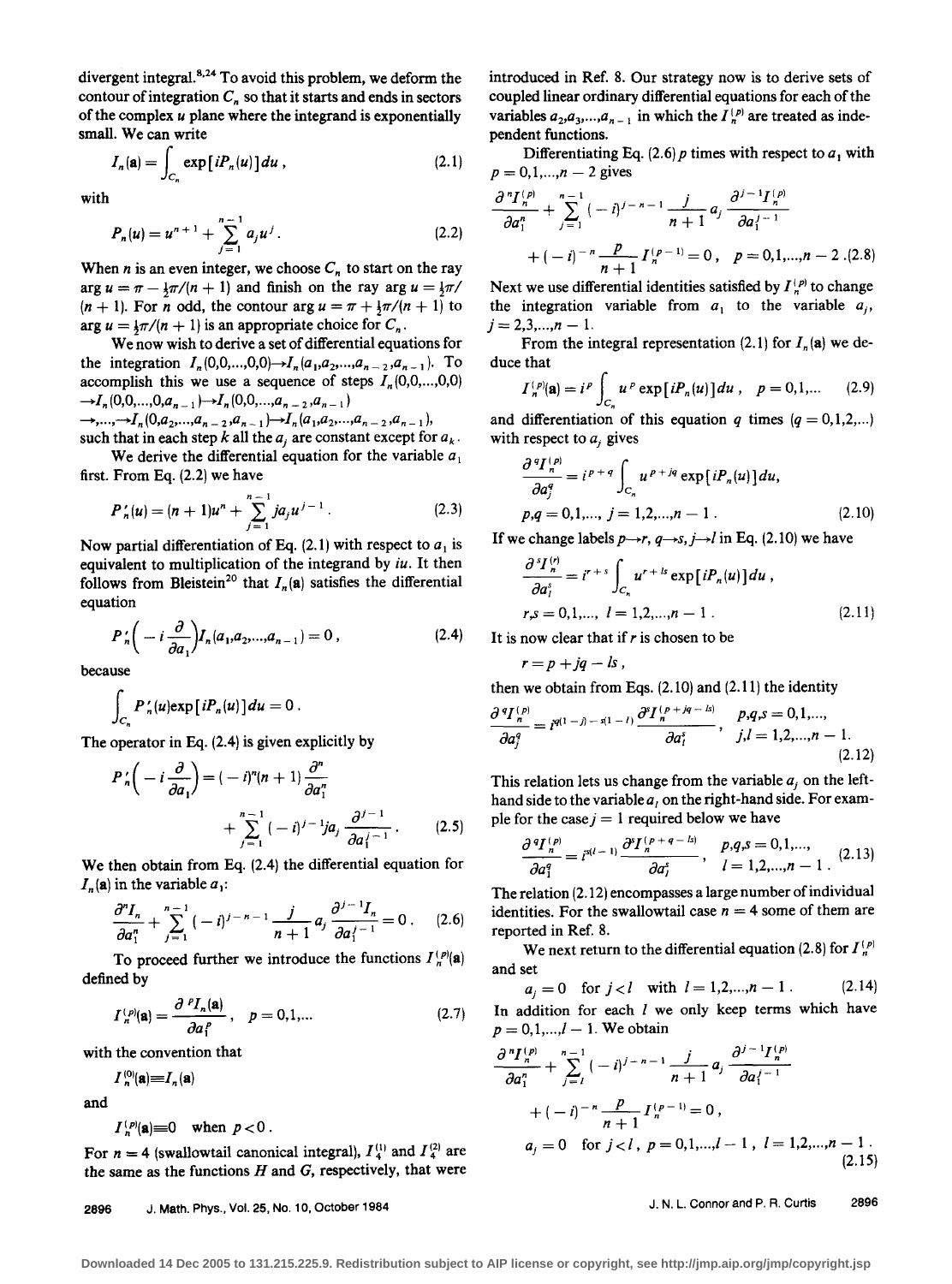divergent integral.<sup>8,24</sup> To avoid this problem, we deform the contour of integration  $C_n$  so that it starts and ends in sectors of the complex *u* plane where the integrand is exponentially small. We can write

$$
I_n(\mathbf{a}) = \int_{C_n} \exp[iP_n(u)] du , \qquad (2.1)
$$

with

$$
P_n(u) = u^{n+1} + \sum_{j=1}^{n-1} a_j u^j.
$$
 (2.2)

When *n* is an even integer, we choose  $C_n$  to start on the ray arg  $u = \pi - \frac{1}{2}\pi/(n+1)$  and finish on the ray arg  $u = \frac{1}{2}\pi/$  $(n + 1)$ . For *n* odd, the contour arg  $u = \pi + \frac{1}{2}\pi/(n + 1)$  to arg  $u = \frac{1}{2}\pi/(n + 1)$  is an appropriate choice for  $C_n$ .<br>We now wish to derive a set of differential equations for

the integration  $I_n(0,0,...,0,0) \rightarrow I_n(a_1,a_2,...,a_{n-2},a_{n-1})$ . To accomplish this we use a sequence of steps  $I_n(0,0,...,0,0)$  $\rightarrow I_n(0,0,...,0,a_{n-1}) \rightarrow I_n(0,0,...,a_{n-2},a_{n-1})$ 

 $\rightarrow$ ,..., $\rightarrow$ *I<sub>n</sub>*(0,*a*<sub>2</sub>,...,*a*<sub>*n*-2</sub>,*a*<sub>*n*-1</sub>) $\rightarrow$ *I<sub>n</sub>*(*a*<sub>1</sub>,*a*<sub>2</sub>,...,*a*<sub>*n*-2</sub>,*a*<sub>*n*-1</sub>), such that in each step k all the  $a_i$  are constant except for  $a_k$ .

We derive the differential equation for the variable  $a_1$ first. From Eq. (2.2) we have

$$
P'_n(u) = (n+1)u^n + \sum_{j=1}^{n-1} ja_j u^{j-1}.
$$
 (2.3)

Now partial differentiation of Eq.  $(2.1)$  with respect to  $a_1$  is equivalent to multiplication of the integrand by *iu.* It then follows from Bleistein<sup>20</sup> that  $I_n(\mathbf{a})$  satisfies the differential equation

$$
P'_{n}\left(-i\frac{\partial}{\partial a_{1}}\right)I_{n}(a_{1},a_{2},...,a_{n-1})=0, \qquad (2.4)
$$

because

$$
\int_{C_n} P'_n(u) \exp[iP_n(u)] du = 0.
$$

The operator in Eq. (2.4) is given explicitly by

$$
P_n'\left(-i\frac{\partial}{\partial a_1}\right) = (-i)^n (n+1) \frac{\partial^n}{\partial a_1^n} + \sum_{j=1}^{n-1} (-i)^{j-1} ja_j \frac{\partial^{j-1}}{\partial a_1^{j-1}}.
$$
 (2.5)

We then obtain from Eq. (2.4) the differential equation for  $I_n$ (a) in the variable  $a_1$ :

$$
\frac{\partial^n I_n}{\partial a_1^n} + \sum_{j=1}^{n-1} (-i)^{j-n-1} \frac{j}{n+1} a_j \frac{\partial^{j-1} I_n}{\partial a_1^{j-1}} = 0 \ . \tag{2.6}
$$

To proceed further we introduce the functions  $I_{n}^{(p)}(a)$ defined by

$$
I_n^{(p)}(\mathbf{a}) = \frac{\partial^p I_n(\mathbf{a})}{\partial a_1^p}, \quad p = 0, 1, \dots
$$
 (2.7)

with the convention that

$$
I_n^{(0)}(\mathbf{a})=I_n(\mathbf{a})
$$

and

$$
I_n^{(p)}(\mathbf{a})\equiv 0 \quad \text{when } p < 0.
$$

For  $n = 4$  (swallowtail canonical integral),  $I_4^{(1)}$  and  $I_4^{(2)}$  are the same as the functions  $H$  and  $G$ , respectively, that were

2896 J. Math. Phys., Vol. 25, No.10, October 1984

introduced in Ref. 8. Our strategy now is to derive sets of coupled linear ordinary differential equations for each of the variables  $a_2, a_3, \ldots, a_{n-1}$  in which the  $I_n^{(p)}$  are treated as independent functions.

Differentiating Eq. (2.6) p times with respect to  $a_1$  with  $p = 0, 1, \dots, n-2$  gives

$$
\frac{\partial^n I_n^{(p)}}{\partial a_1^n} + \sum_{j=1}^{n-1} (-i)^{j-n-1} \frac{j}{n+1} a_j \frac{\partial^{j-1} I_n^{(p)}}{\partial a_1^{j-1}} + (-i)^{-n} \frac{p}{n+1} I_n^{(p-1)} = 0, \quad p = 0, 1, ..., n-2. (2.8)
$$

Next we use differential identities satisfied by  $I_n^{(p)}$  to change the integration variable from  $a_1$  to the variable  $a_i$ ,  $j = 2,3,...,n - 1$ .

From the integral representation (2.1) for  $I_n(\mathbf{a})$  we deduce that

that  

$$
I_n^{(p)}(\mathbf{a}) = i^p \int_{C_n} u^p \exp[i P_n(u)] du, \quad p = 0, 1, ... \qquad (2.9)
$$

and differentiation of this equation *q* times  $(q = 0,1,2,...)$ 

with respect to 
$$
a_j
$$
 gives  
\n
$$
\frac{\partial^q I_n^{(p)}}{\partial a_j^q} = i^{p+q} \int_{C_n} u^{p+jq} \exp[iP_n(u)] du,
$$
\n
$$
p, q = 0, 1, ..., j = 1, 2, ..., n - 1.
$$
\n(2.10)

If we change labels 
$$
p \rightarrow r
$$
,  $q \rightarrow s$ ,  $j \rightarrow l$  in Eq. (2.10) we have  
\n
$$
\frac{\partial^s I_n^{(r)}}{\partial a_l^s} = i^{r+s} \int_{C_n} u^{r+ls} \exp[iP_n(u)] du,
$$
\n
$$
r,s = 0,1,..., l = 1,2,...,n-1.
$$
\n(2.11)

It is now clear that if *r* is chosen to be

$$
r=p+jq-ls,
$$

then we obtain from Eqs.  $(2.10)$  and  $(2.11)$  the identity

$$
\frac{\partial^{q} I_{n}^{(p)}}{\partial a_{j}^{q}} = i^{q(1-j)-s(1-l)} \frac{\partial^{q} I_{n}^{(p+jq-ls)}}{\partial a_{l}^{s}}, \quad p,q,s = 0,1,...,j,l = 1,2,...,n-1.
$$
\n(2.12)

This relation lets us change from the variable  $a_i$  on the lefthand side to the variable  $a<sub>l</sub>$  on the right-hand side. For example for the case  $j = 1$  required below we have

$$
\frac{\partial^{q} I_{n}^{(p)}}{\partial a_{1}^{q}} = i^{s(l-1)} \frac{\partial^{s} I_{n}^{(p+q-ls)}}{\partial a_{1}^{s}}, \quad p,q,s = 0,1,..., \newline \hspace*{1.5cm} p,q,s = 0,1,..., \newline (2.13)
$$

The relation (2.12) encompasses a large number of individual identities. For the swallowtail case  $n = 4$  some of them are reported in Ref. 8.

We next return to the differential equation (2.8) for  $I_n^{(p)}$ and set

 $a_j = 0$  for  $j < l$  with  $l = 1, 2, ..., n - 1$ . (2.14) In addition for each  $l$  we only keep terms which have  $p = 0, 1, ..., l-1$ . We obtain

$$
\frac{\partial^n I_n^{(p)}}{\partial a_1^n} + \sum_{j=1}^{n-1} (-i)^{j-n-1} \frac{j}{n+1} a_j \frac{\partial^{j-1} I_n^{(p)}}{\partial a_1^{j-1}} + (-i)^{-n} \frac{p}{n+1} I_n^{(p-1)} = 0,
$$
  
\n
$$
a_j = 0 \text{ for } j < l, \ p = 0, 1, \dots, l-1, \ l = 1, 2, \dots, n-1.
$$
\n(2.15)

J. N. L. Connor and P.R. Curtis 2896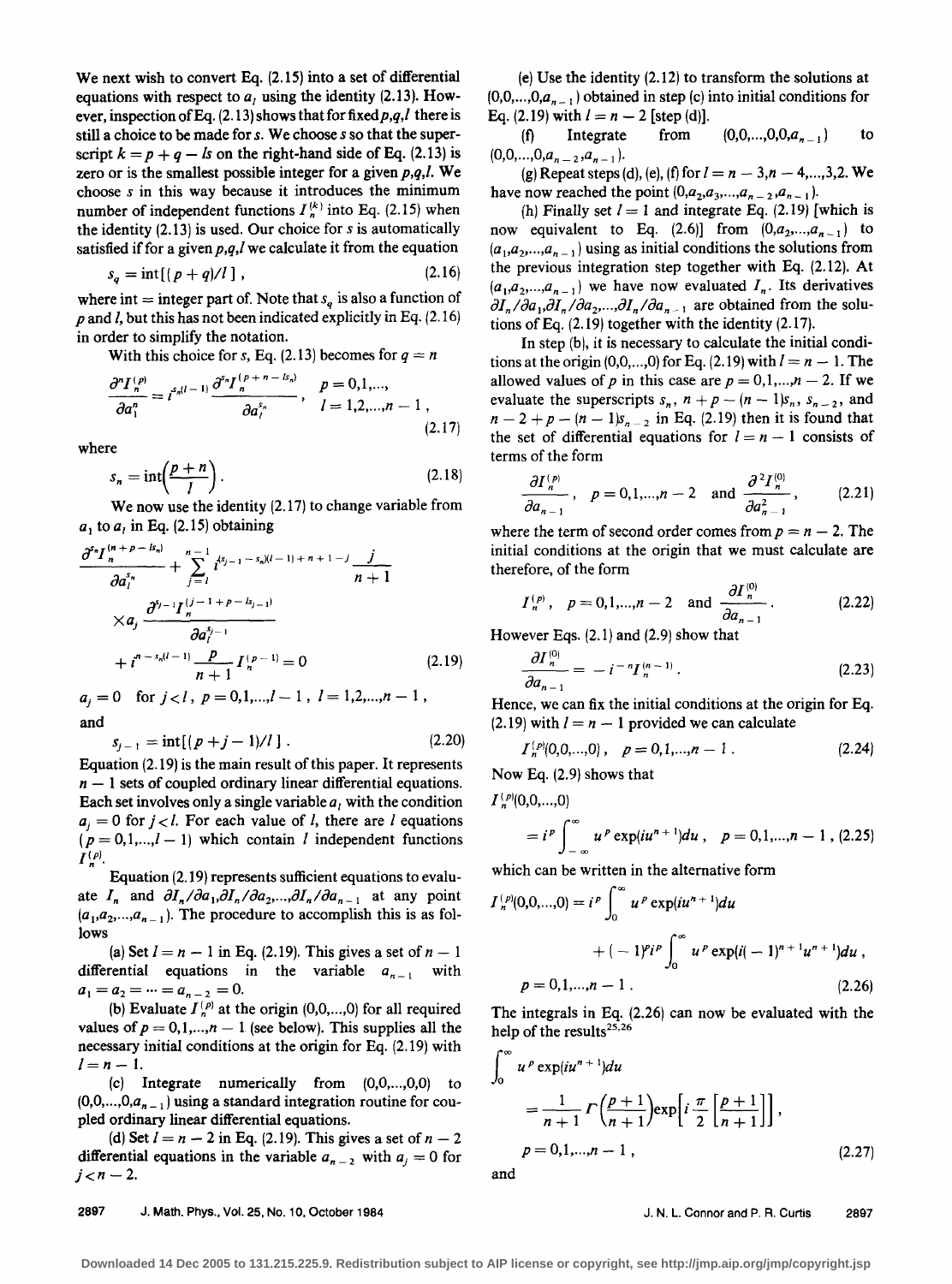We next wish to convert Eq. (2.15) into a set of differential equations with respect to  $a<sub>l</sub>$  using the identity (2.13). However, inspection of Eq.  $(2.13)$  shows that for fixed  $p,q,l$  there is still a choice to be made for *s*. We choose *s* so that the superscript  $k = p + q - ls$  on the right-hand side of Eq. (2.13) is zero or is the smallest possible integer for a given  $p,q,l$ . We choose *s* in this way because it introduces the minimum number of independent functions  $I_n^{(k)}$  into Eq. (2.15) when the identity (2.13) is used. Our choice for *sis* automatically satisfied if for a given  $p,q,l$  we calculate it from the equation

$$
s_q = \text{int}[(p+q)/l], \qquad (2.16)
$$

where int  $=$  integer part of. Note that  $s<sub>q</sub>$  is also a function of *p* and/, but this has not been indicated explicitly in Eq. (2.16) in order to simplify the notation.

With this choice for *s*, Eq. (2.13) becomes for  $q = n$ 

$$
\frac{\partial^n I_n^{(p)}}{\partial a_1^n} = i^{s_n(l-1)} \frac{\partial^{s_n} I_n^{(p+n-ls_n)}}{\partial a_l^{s_n}}, \quad p = 0,1,..., l = 1,2,...,n-1 , \qquad (2.17)
$$

where

$$
s_n = \text{int}\left(\frac{p+n}{l}\right). \tag{2.18}
$$

We now use the identity (2.17) to change variable from  $a_1$  to  $a_1$  in Eq. (2.15) obtaining

$$
\frac{\partial^{s_n} I_n^{(n+p-k_n)}}{\partial a_1^{s_n}} + \sum_{j=1}^{n-1} i^{s_{j-1}-s_n/(l-1)+n+1-j} \frac{j}{n+1}
$$
  
\n
$$
\times a_j \frac{\partial^{s_{j-1}} I_n^{(j-1+p-k_{j-1})}}{\partial a_j^{s_{j-1}}}
$$
  
\n
$$
+ i^{n-s_n(l-1)} \frac{p}{n+1} I_n^{(p-1)} = 0
$$
\n(2.19)

 $a_i = 0$  for  $j < l$ ,  $p = 0, 1, \ldots, l-1$ ,  $l = 1, 2, \ldots, n-1$ , and

$$
\int_{S_{j-1}}^d = \text{int}[(p+j-1)/l]. \tag{2.20}
$$

Equation (2.19) is the main result of this paper. It represents  $n - 1$  sets of coupled ordinary linear differential equations. Each set involves only a single variable  $a_i$  with the condition  $a<sub>i</sub> = 0$  for  $j < l$ . For each value of *l*, there are *l* equations  $(p = 0, 1, \ldots, l - 1)$  which contain l independent functions  $I^{(p)}$ .

Equation (2.19) represents sufficient equations to evaluate  $I_n$  and  $\partial I_n / \partial a_1, \partial I_n / \partial a_2, \ldots, \partial I_n / \partial a_{n-1}$  at any point  $(a_1, a_2, \ldots, a_{n-1})$ . The procedure to accomplish this is as follows

(a) Set  $I = n - 1$  in Eq. (2.19). This gives a set of  $n - 1$ differential equations in the variable  $a_{n-1}$  with  $a_1 = a_2 = \cdots = a_{n-2} = 0.$ 

(b) Evaluate  $I_n^{(p)}$  at the origin (0,0,...,0) for all required values of  $p = 0, 1, \dots, n - 1$  (see below). This supplies all the necessary initial conditions at the origin for Eq. (2.19) with  $l=n-1$ .

(c) Integrate numerically from  $(0,0,...,0,0)$  to  $(0,0,...,0,a_{n-1})$  using a standard integration routine for coupled ordinary linear differential equations.

(d) Set  $l = n - 2$  in Eq. (2.19). This gives a set of  $n - 2$ differential equations in the variable  $a_{n-2}$  with  $a_i = 0$  for  $j < n - 2$ .

(e) Use the identity (2.12) to transform the solutions at  $(0,0,...,0,a_{n-1})$  obtained in step (c) into initial conditions for Eq. (2.19) with  $l = n - 2$  [step (d)].<br>(f) Integrate from

(f) Integrate from  $(0,0,...,0,0,a_{n-1})$  to  $(0,0,...,0,a_{n-2},a_{n-1}).$ 

(g) Repeat steps (d), (e), (f) for  $l = n - 3, n - 4, ..., 3, 2$ . We have now reached the point  $(0, a_2, a_3, ..., a_{n-2}, a_{n-1})$ .

(h) Finally set  $I = 1$  and integrate Eq. (2.19) [which is now equivalent to Eq.  $(2.6)$ ] from  $(0,a_2,...,a_{n-1})$  to  $(a_1, a_2, \ldots, a_{n-1})$  using as initial conditions the solutions from the previous integration step together with Eq. (2.12). At  $(a_1, a_2, \ldots, a_{n-1})$  we have now evaluated  $I_n$ . Its derivatives  $\partial I_n/\partial a_1, \partial I_n/\partial a_2, \ldots, \partial I_n/\partial a_{n-1}$  are obtained from the solutions of Eq. (2.19) together with the identity (2.17).

In step (b), it is necessary to calculate the initial conditions at the origin  $(0,0,...,0)$  for Eq.  $(2.19)$  with  $l = n - 1$ . The allowed values of *p* in this case are  $p = 0, 1, \dots, n - 2$ . If we evaluate the superscripts  $s_n$ ,  $n + p - (n - 1)s_n$ ,  $s_{n-2}$ , and  $n-2 + p - (n- 1)s_{n-2}$  in Eq. (2.19) then it is found that the set of differential equations for  $l = n - 1$  consists of terms of the form

$$
\frac{\partial I_n^{(p)}}{\partial a_{n-1}}, \quad p = 0, 1, ..., n-2 \quad \text{and} \quad \frac{\partial^2 I_n^{(0)}}{\partial a_{n-1}^2}, \quad (2.21)
$$

where the term of second order comes from  $p = n - 2$ . The initial conditions at the origin that we must calculate are therefore, of the form

$$
I_n^{(p)}
$$
,  $p = 0, 1, ..., n - 2$  and  $\frac{\partial I_n^{(0)}}{\partial a_{n-1}}$ . (2.22)

However Eqs. (2.1) and (2.9) show that

$$
\frac{\partial I_n^{(0)}}{\partial a_{n-1}} = -i^{-n} I_n^{(n-1)}.
$$
\n(2.23)

Hence, we can fix the initial conditions at the origin for Eq.  $(2.19)$  with  $l = n - 1$  provided we can calculate

$$
I_n^{(p)}(0,0,...,0), \quad p=0,1,...,n-1.
$$
 (2.24)

Now Eq. (2.9) shows that

 $I_n^{(p)}(0,0,...,0)$ 

$$
= ip \int_{-\infty}^{\infty} up \exp(iun+1) du , p = 0,1,...,n-1, (2.25)
$$

which can be written in the alternative form

$$
I_n^{(p)}(0,0,...,0) = i^p \int_0^\infty u^p \exp(iu^{n+1}) du
$$
  
+  $(-1)^{p} i^p \int_0^\infty u^p \exp(i(-1)^{n+1} u^{n+1}) du$ ,  
 $p = 0,1,...,n-1$ . (2.26)

The integrals in Eq. (2.26) can now be evaluated with the help of the results<sup>25,26</sup>

$$
\int_0^\infty u^p \exp(iu^{n+1}) du
$$
  
= 
$$
\frac{1}{n+1} \Gamma\left(\frac{p+1}{n+1}\right) \exp\left[i\frac{\pi}{2}\left[\frac{p+1}{n+1}\right]\right],
$$
  

$$
p = 0, 1, ..., n-1, \qquad (2.27)
$$

and

J. N. L. Connor and P. R. Curtis 2897

2897 J. Math. Phys., Vol. 25, No. 10, October 1984

**Downloaded 14 Dec 2005 to 131.215.225.9. Redistribution subject to AIP license or copyright, see http://jmp.aip.org/jmp/copyright.jsp**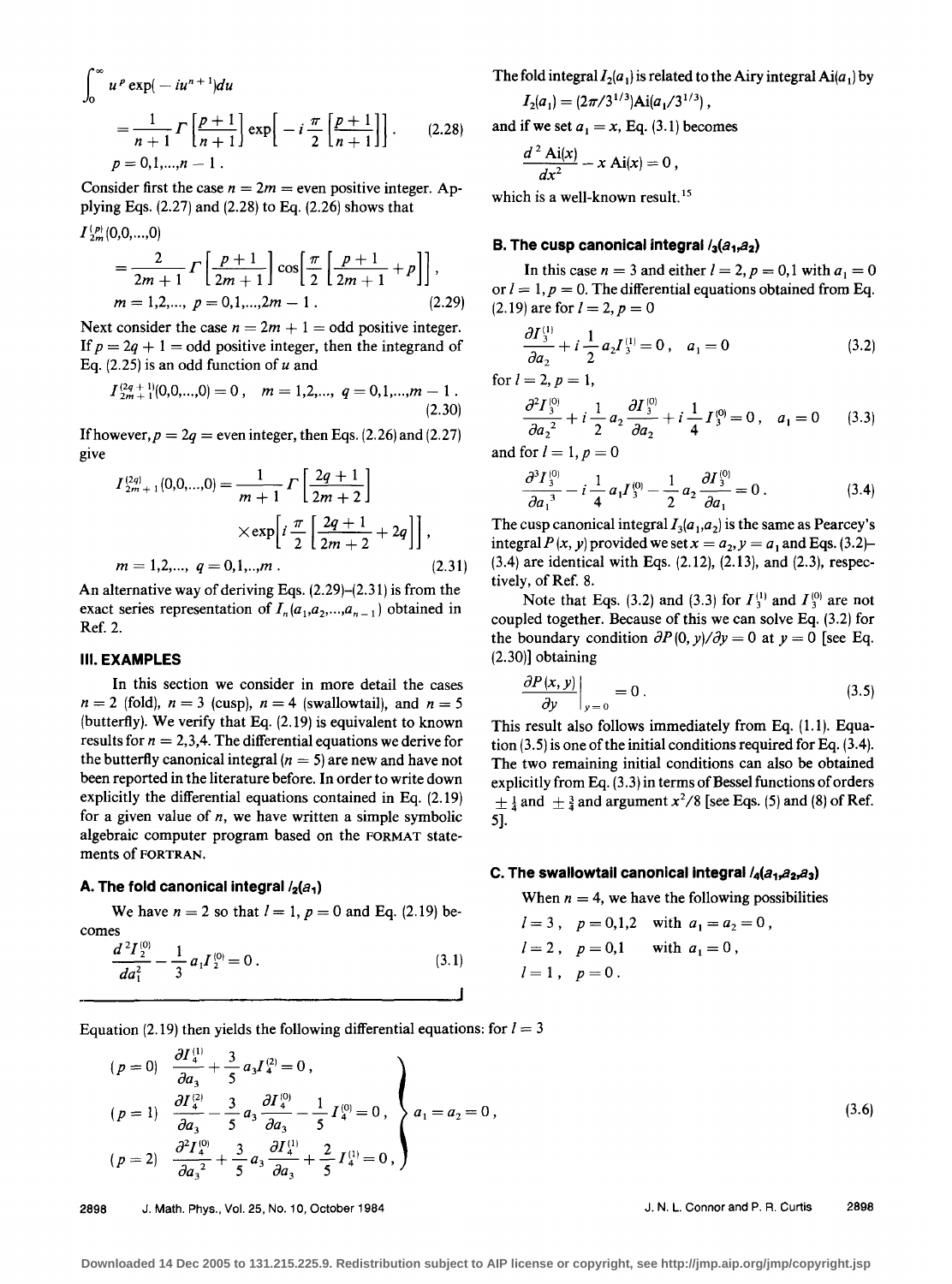$$
\int_0^{\infty} u^p \exp(-iu^{n+1}) du
$$
  
=  $\frac{1}{n+1} \Gamma\left[\frac{p+1}{n+1}\right] \exp\left[-i \frac{\pi}{2} \left[\frac{p+1}{n+1}\right]\right]$ . (2.28)  
 $p = 0, 1, ..., n-1$ .

Consider first the case  $n = 2m$  = even positive integer. Applying Eqs. (2.27) and (2.28) to Eq. (2.26) shows that  $I_{2m}^{(p)}(0,0,...,0)$ 

$$
= \frac{2}{2m+1} \Gamma\left[\frac{p+1}{2m+1}\right] \cos\left[\frac{\pi}{2}\left[\frac{p+1}{2m+1}+p\right]\right],
$$
  
m = 1,2,..., p = 0,1,...,2m - 1. (2.29)

Next consider the case  $n = 2m + 1 =$ odd positive integer. If  $p = 2q + 1$  = odd positive integer, then the integrand of Eq. (2.25) is an odd function of *u* and

$$
I_{2m+1}^{(2q+1)}(0,0,...,0) = 0, \quad m = 1,2,..., q = 0,1,...,m-1
$$
\n(2.30)

If however,  $p = 2q$  = even integer, then Eqs. (2.26) and (2.27) give

$$
I_{2m+1}^{(2q)}(0,0,...,0) = \frac{1}{m+1} \Gamma\left[\frac{2q+1}{2m+2}\right]
$$
  
× $\exp\left[i\frac{\pi}{2}\left[\frac{2q+1}{2m+2}+2q\right]\right]$ ,  
 $m = 1,2,..., q = 0,1,...,m$ . (2.31)

An alternative way of deriving Eqs. (2.29)-(2.31) is from the exact series representation of  $I_n(a_1, a_2, \ldots, a_{n-1})$  obtained in Ref. 2.

### **Ill. EXAMPLES**

In this section we consider in more detail the cases  $n = 2$  (fold),  $n = 3$  (cusp),  $n = 4$  (swallowtail), and  $n = 5$ (butterfly). We verify that Eq. (2.19) is equivalent to known results for  $n = 2,3,4$ . The differential equations we derive for the butterfly canonical integral  $(n = 5)$  are new and have not been reported in the literature before. In order to write down explicitly the differential equations contained in Eq. (2.19) for a given value of *n,* we have written a simple symbolic algebraic computer program based on the FORMAT statements of FORTRAN.

### A. The fold canonical integral  $\frac{1}{2}(a_1)$

 $\sim$  100  $\mu$ 

We have  $n = 2$  so that  $l = 1$ ,  $p = 0$  and Eq. (2.19) be-

comes  
\n
$$
\frac{d^2 I_2^{(0)}}{d a_1^2} - \frac{1}{3} a_1 I_2^{(0)} = 0.
$$
\n(3.1)

The fold integral  $I_2(a_1)$  is related to the Airy integral Ai( $a_1$ ) by

$$
I_2(a_1) = (2\pi/3^{1/3}) \text{Ai}(a_1/3^{1/3}),
$$

and if we set  $a_1 = x$ , Eq. (3.1) becomes

$$
\frac{d^2\text{ Ai}(x)}{dx^2} - x\text{ Ai}(x) = 0 ,
$$

which is a well-known result.<sup>15</sup>

### **B. The cusp canonical integral**  $\ell_3(a_1, a_2)$

In this case  $n = 3$  and either  $l = 2$ ,  $p = 0, 1$  with  $a_1 = 0$ or  $l = 1, p = 0$ . The differential equations obtained from Eq. (2.19) are for  $l = 2, p = 0$ 

$$
\frac{\partial I_3^{(1)}}{\partial a_2} + i \frac{1}{2} a_2 I_3^{(1)} = 0 \,, \quad a_1 = 0 \tag{3.2}
$$

for  $l = 2, p = 1$ ,

$$
\frac{\partial^2 I_3^{(0)}}{\partial a_2^2} + i \frac{1}{2} a_2 \frac{\partial I_3^{(0)}}{\partial a_2} + i \frac{1}{4} I_3^{(0)} = 0 \,, \quad a_1 = 0 \tag{3.3}
$$

and for  $l = 1$ ,  $p = 0$ 

$$
\frac{\partial^3 I_3^{(0)}}{\partial a_1^3} - i \frac{1}{4} a_1 I_3^{(0)} - \frac{1}{2} a_2 \frac{\partial I_3^{(0)}}{\partial a_1} = 0.
$$
 (3.4)

The cusp canonical integral  $I_3(a_1,a_2)$  is the same as Pearcey's integral  $P(x, y)$  provided we set  $x = a_2, y = a_1$  and Eqs. (3.2)-(3.4) are identical with Eqs. (2.12), (2.13), and (2.3), respectively, of Ref. 8.

Note that Eqs. (3.2) and (3.3) for  $I_3^{(1)}$  and  $I_3^{(0)}$  are not coupled together. Because of this we can solve Eq. (3.2) for the boundary condition  $\partial P(0, y)/\partial y = 0$  at  $y = 0$  [see Eq. (2.30)] obtaining

$$
\left. \frac{\partial P(x, y)}{\partial y} \right|_{y=0} = 0 \,.
$$
 (3.5)

This result also follows immediately from Eq. (1.1). Equation (3.5) is one of the initial conditions required for Eq. (3.4). The two remaining initial conditions can also be obtained explicitly from Eq.  $(3.3)$  in terms of Bessel functions of orders  $\pm \frac{1}{4}$  and  $\pm \frac{3}{4}$  and argument  $x^2/8$  [see Eqs. (5) and (8) of Ref. 5].

### **C. The swallowtail canonical integral /4(a<sub>1</sub>,a<sub>2</sub>,a<sub>3</sub>)**

When  $n = 4$ , we have the following possibilities

$$
l = 3
$$
,  $p = 0,1,2$  with  $a_1 = a_2 = 0$ ,  
\n $l = 2$ ,  $p = 0,1$  with  $a_1 = 0$ ,  
\n $l = 1$ ,  $p = 0$ .

Equation (2.19) then yields the following differential equations: for  $l=3$ 

$$
(p = 0) \quad \frac{\partial I_4^{(1)}}{\partial a_3} + \frac{3}{5} a_3 I_4^{(2)} = 0,
$$
\n
$$
(p = 1) \quad \frac{\partial I_4^{(2)}}{\partial a_3} - \frac{3}{5} a_3 \frac{\partial I_4^{(0)}}{\partial a_3} - \frac{1}{5} I_4^{(0)} = 0,
$$
\n
$$
(p = 2) \quad \frac{\partial^2 I_4^{(0)}}{\partial a_3^2} + \frac{3}{5} a_3 \frac{\partial I_4^{(1)}}{\partial a_3} + \frac{2}{5} I_4^{(1)} = 0,
$$
\n
$$
(3.6)
$$

2898 J. Math. Phys., Vol. 25, No. 10, October 1984 J. N. L. Connor and P. A. Curtis 2898

**Downloaded 14 Dec 2005 to 131.215.225.9. Redistribution subject to AIP license or copyright, see http://jmp.aip.org/jmp/copyright.jsp**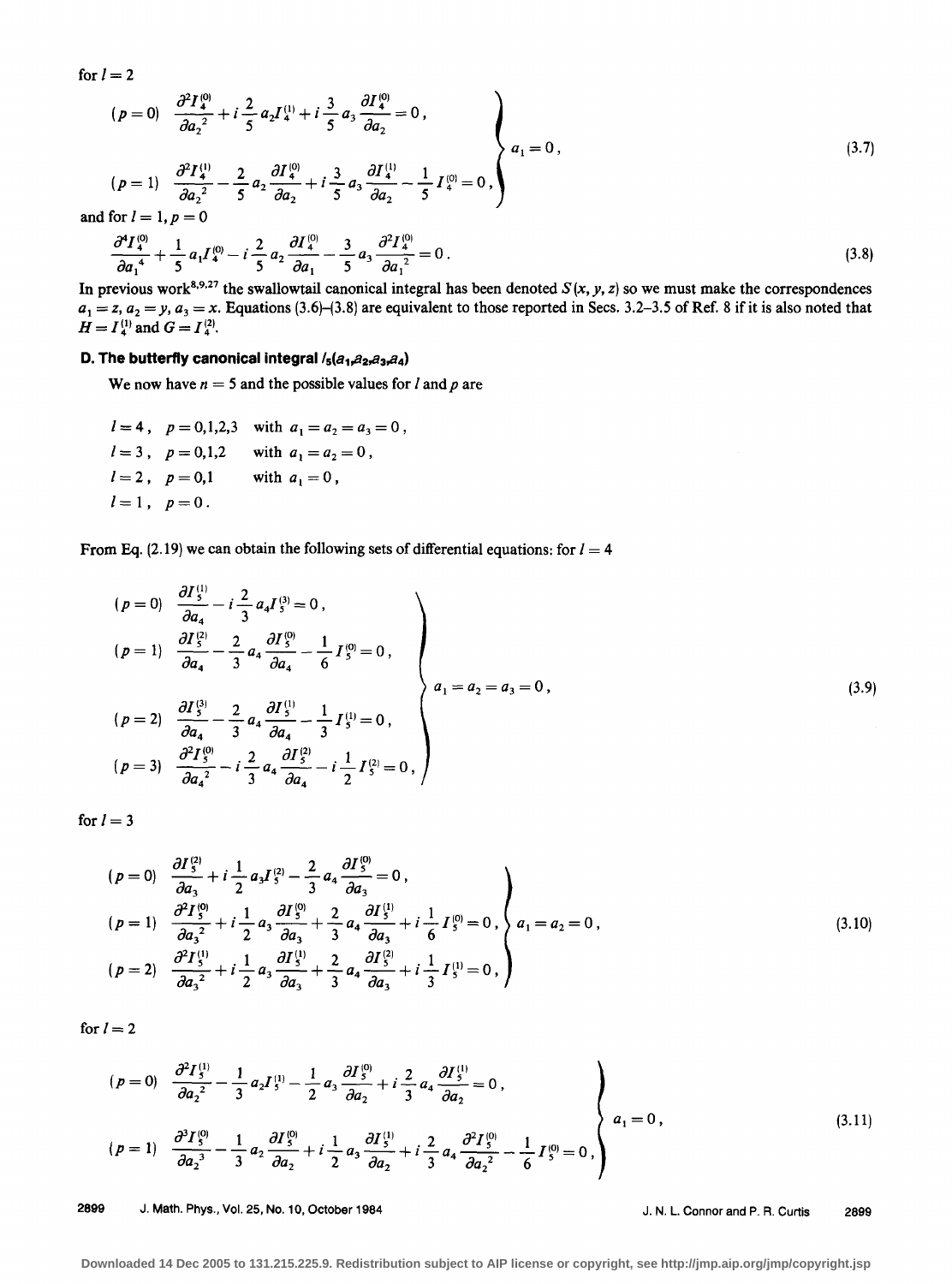for  $l=2$ 

$$
(p = 0) \quad \frac{\partial^2 I_4^{(0)}}{\partial a_2^2} + i \frac{2}{5} a_2 I_4^{(1)} + i \frac{3}{5} a_3 \frac{\partial I_4^{(0)}}{\partial a_2} = 0,
$$
\n
$$
(p = 1) \quad \frac{\partial^2 I_4^{(1)}}{\partial a_2^2} - \frac{2}{5} a_2 \frac{\partial I_4^{(0)}}{\partial a_2} + i \frac{3}{5} a_3 \frac{\partial I_4^{(1)}}{\partial a_2} - \frac{1}{5} I_4^{(0)} = 0,
$$
\n
$$
(3.7)
$$

and for  $l = 1, p = 0$ 

$$
\frac{\partial^4 I_4^{(0)}}{\partial a_1^4} + \frac{1}{5} a_1 I_4^{(0)} - i \frac{2}{5} a_2 \frac{\partial I_4^{(0)}}{\partial a_1} - \frac{3}{5} a_3 \frac{\partial^2 I_4^{(0)}}{\partial a_1^2} = 0.
$$
\n(3.8)

In previous work<sup>8,9,27</sup> the swallowtail canonical integral has been denoted  $S(x, y, z)$  so we must make the correspondences  $a_1 = z$ ,  $a_2 = y$ ,  $a_3 = x$ . Equations (3.6)–(3.8) are equivalent to those reported in Secs. 3.2–3.5 of Ref. 8 if it is also noted that  $H = I<sub>4</sub><sup>(1)</sup>$  and  $G = I<sub>4</sub><sup>(2)</sup>$ .

# **D. The butterfly canonical integral** /<sub>5</sub>(a<sub>1</sub>, a<sub>2</sub>, a<sub>3</sub>, a<sub>4</sub>)

We now have  $n = 5$  and the possible values for  $l$  and  $p$  are

$$
l = 4
$$
,  $p = 0,1,2,3$  with  $a_1 = a_2 = a_3 = 0$ ,  
\n $l = 3$ ,  $p = 0,1,2$  with  $a_1 = a_2 = 0$ ,  
\n $l = 2$ ,  $p = 0,1$  with  $a_1 = 0$ ,  
\n $l = 1$ ,  $p = 0$ .

From Eq. (2.19) we can obtain the following sets of differential equations: for  $I = 4$ 

$$
(p = 0) \quad \frac{\partial I_{5}^{(1)}}{\partial a_{4}} - i \frac{2}{3} a_{4} I_{5}^{(3)} = 0,
$$
\n
$$
(p = 1) \quad \frac{\partial I_{5}^{(2)}}{\partial a_{4}} - \frac{2}{3} a_{4} \frac{\partial I_{5}^{(0)}}{\partial a_{4}} - \frac{1}{6} I_{5}^{(0)} = 0,
$$
\n
$$
(p = 2) \quad \frac{\partial I_{5}^{(3)}}{\partial a_{4}} - \frac{2}{3} a_{4} \frac{\partial I_{5}^{(1)}}{\partial a_{4}} - \frac{1}{3} I_{5}^{(1)} = 0,
$$
\n
$$
(p = 3) \quad \frac{\partial^{2} I_{5}^{(0)}}{\partial a_{4}^{2}} - i \frac{2}{3} a_{4} \frac{\partial I_{5}^{(2)}}{\partial a_{4}} - i \frac{1}{2} I_{5}^{(2)} = 0,
$$
\n
$$
(p = 4) \quad \frac{\partial^{2} I_{5}^{(0)}}{\partial a_{4}^{2}} - i \frac{2}{3} a_{4} \frac{\partial I_{5}^{(2)}}{\partial a_{4}} - i \frac{1}{2} I_{5}^{(2)} = 0,
$$
\n
$$
(p = 5) \quad \frac{\partial^{2} I_{5}^{(0)}}{\partial a_{4}^{2}} - i \frac{2}{3} a_{4} \frac{\partial I_{5}^{(2)}}{\partial a_{4}} - i \frac{1}{2} I_{5}^{(2)} = 0,
$$
\n
$$
(p = 6) \quad \frac{\partial I_{5}^{(3)}}{\partial a_{4}^{2}} - i \frac{2}{3} a_{4} \frac{\partial I_{5}^{(2)}}{\partial a_{4}^{2}} - i \frac{1}{2} I_{5}^{(2)} = 0,
$$
\n
$$
(p = 7) \quad \frac{\partial I_{5}^{(3)}}{\partial a_{4}^{2}} - i \frac{\partial I_{5}^{(3)}}{\partial a_{4}^{2}} - i \frac{\partial I_{5}^{(2)}}{\partial a_{4}^{2}} - i \frac{\partial I_{5}^{(3)}}{\partial a_{4}^{2}} - i \frac{\partial I_{5}^{(3)}}{\partial a_{4}^{2}} - i \frac{\partial I_{5}^{(3)}}{\partial a_{4}^{2}} - i \frac{\partial I_{5}^{(3)}}{\partial a_{4}^{
$$

for  $l= 3$ 

$$
(p = 0) \quad \frac{\partial I_5^{(2)}}{\partial a_3} + i \frac{1}{2} a_3 I_5^{(2)} - \frac{2}{3} a_4 \frac{\partial I_5^{(0)}}{\partial a_3} = 0,
$$
\n
$$
(p = 1) \quad \frac{\partial^2 I_5^{(0)}}{\partial a_3^2} + i \frac{1}{2} a_3 \frac{\partial I_5^{(0)}}{\partial a_3} + \frac{2}{3} a_4 \frac{\partial I_5^{(1)}}{\partial a_3} + i \frac{1}{6} I_5^{(0)} = 0,
$$
\n
$$
(p = 2) \quad \frac{\partial^2 I_5^{(1)}}{\partial a_3^2} + i \frac{1}{2} a_3 \frac{\partial I_5^{(1)}}{\partial a_3} + \frac{2}{3} a_4 \frac{\partial I_5^{(2)}}{\partial a_3} + i \frac{1}{3} I_5^{(1)} = 0,
$$
\n
$$
(3.10)
$$

for  $l= 2$ 

$$
(p = 0) \quad \frac{\partial^2 I_5^{(1)}}{\partial a_2^2} - \frac{1}{3} a_2 I_5^{(1)} - \frac{1}{2} a_3 \frac{\partial I_5^{(0)}}{\partial a_2} + i \frac{2}{3} a_4 \frac{\partial I_5^{(1)}}{\partial a_2} = 0,
$$
\n
$$
(p = 1) \quad \frac{\partial^3 I_5^{(0)}}{\partial a_2^3} - \frac{1}{3} a_2 \frac{\partial I_5^{(0)}}{\partial a_2} + i \frac{1}{2} a_3 \frac{\partial I_5^{(1)}}{\partial a_2} + i \frac{2}{3} a_4 \frac{\partial^2 I_5^{(0)}}{\partial a_2^2} - \frac{1}{6} I_5^{(0)} = 0,
$$
\n
$$
(3.11)
$$

2899 J. Math. Phys., Vol. 25, No. 10, October 1984 J. N. L. Connor and P. R. Curtis 2899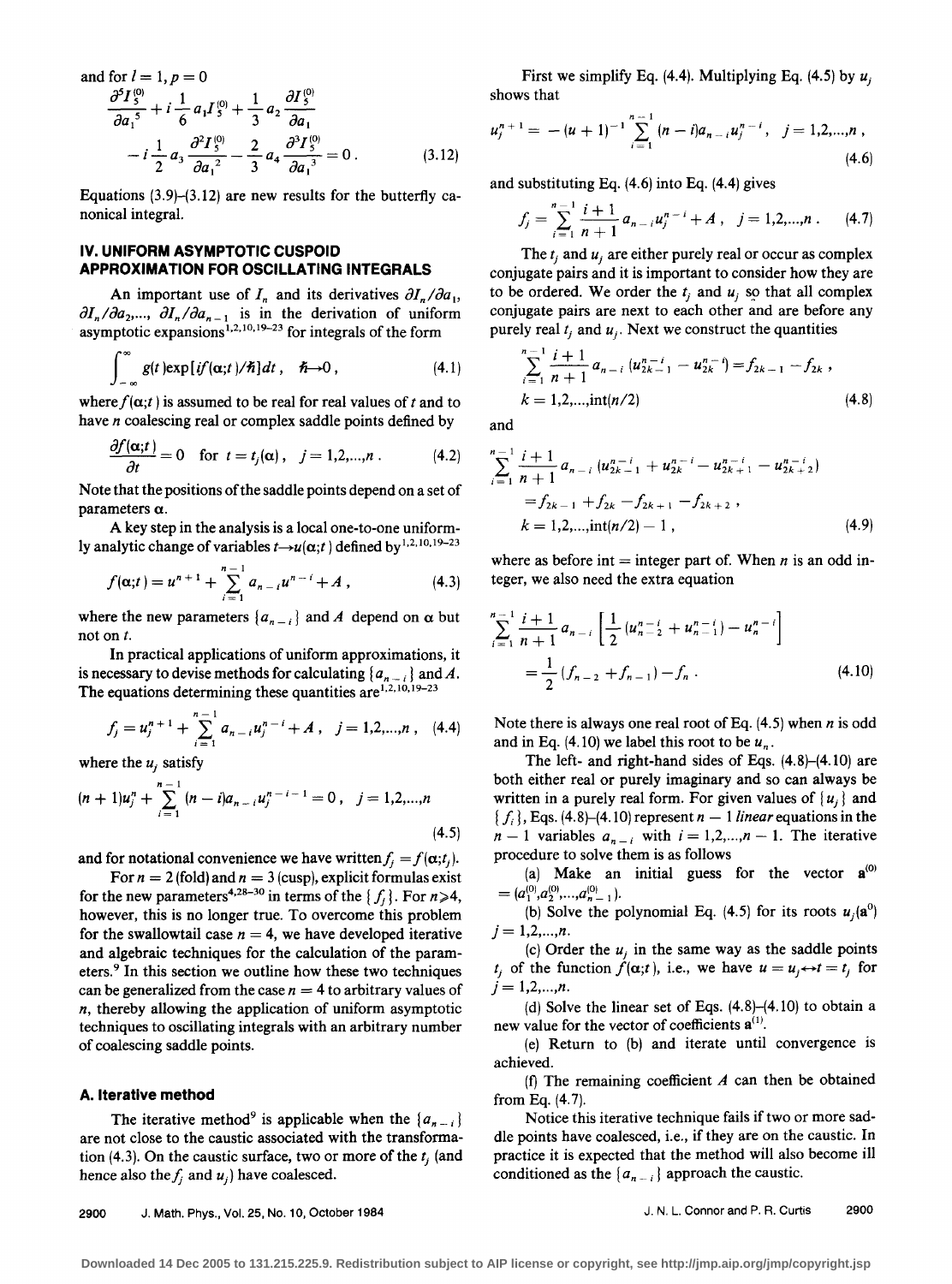and for 
$$
l = 1
$$
,  $p = 0$   
\n
$$
\frac{\partial^5 I_5^{(0)}}{\partial a_1^5} + i \frac{1}{6} a_1 I_5^{(0)} + \frac{1}{3} a_2 \frac{\partial I_5^{(0)}}{\partial a_1} - i \frac{1}{2} a_3 \frac{\partial^2 I_5^{(0)}}{\partial a_1^2} - \frac{2}{3} a_4 \frac{\partial^3 I_5^{(0)}}{\partial a_1^3} = 0.
$$
\n(3.12)

Equations  $(3.9)$ - $(3.12)$  are new results for the butterfly canonical integral.

## IV. **UNIFORM ASYMPTOTIC CUSPOID APPROXIMATION FOR OSCILLATING INTEGRALS**

An important use of  $I_n$  and its derivatives  $\partial I_n / \partial a_1$ ,  $\partial I_n / \partial a_2$ ,...,  $\partial I_n / \partial a_{n-1}$  is in the derivation of uniform asymptotic expansions<sup>1,2,10,19-23</sup> for integrals of the form

$$
\int_{-\infty}^{\infty} g(t) \exp[i f(\alpha; t)/\hbar] dt, \quad \hbar \to 0, \qquad (4.1)
$$

where  $f(\alpha;t)$  is assumed to be real for real values of t and to

have *n* coalescing real or complex saddle points defined by  
\n
$$
\frac{\partial f(\alpha;t)}{\partial t} = 0 \text{ for } t = t_j(\alpha), \quad j = 1,2,...,n.
$$
\n(4.2)

Note that the positions of the saddle points depend on a set of parameters *a.* 

A key step in the analysis is a local one-to-one uniformly analytic change of variables  $t \rightarrow u(\alpha;t)$  defined by<sup>1,2,10,19–23</sup>

$$
f(\alpha;t) = u^{n+1} + \sum_{i=1}^{n-1} a_{n-i} u^{n-i} + A,
$$
 (4.3)

where the new parameters  $\{a_{n-i}\}\$  and A depend on  $\alpha$  but not on *t.* 

In practical applications of uniform approximations, it is necessary to devise methods for calculating  $\{a_{n-1}\}\$  and A. The equations determining these quantities are  $1,2,10,19-23$ 

$$
f_j = u_j^{n+1} + \sum_{i=1}^{n-1} a_{n-i} u_j^{n-i} + A, \quad j = 1, 2, ..., n, \quad (4.4)
$$

where the  $u_i$  satisfy

$$
(n+1)u_j^n + \sum_{i=1}^{n-1} (n-i)a_{n-i}u_j^{n-i-1} = 0, \quad j = 1,2,...,n
$$
\n(4.5)

and for notational convenience we have written  $f_i = f(\alpha; t_i)$ .

For  $n = 2$  (fold) and  $n = 3$  (cusp), explicit formulas exist for the new parameters<sup>4,28–30</sup> in terms of the  $\{f_i\}$ . For  $n \ge 4$ , however, this is no longer true. To overcome this problem for the swallowtail case  $n = 4$ , we have developed iterative and algebraic techniques for the calculation of the parameters.<sup>9</sup> In this section we outline how these two techniques can be generalized from the case  $n = 4$  to arbitrary values of *n,* thereby allowing the application of uniform asymptotic techniques to oscillating integrals with an arbitrary number of coalescing saddle points.

### **A. Iterative method**

The iterative method<sup>9</sup> is applicable when the  $\{a_{n-i}\}$ are not close to the caustic associated with the transformation (4.3). On the caustic surface, two or more of the  $t_j$  (and hence also the  $f_i$  and  $u_j$  ) have coalesced.

First we simplify Eq.  $(4.4)$ . Multiplying Eq.  $(4.5)$  by  $u_i$ shows that

$$
u_j^{n+1} = -(u+1)^{-1} \sum_{i=1}^{n-1} (n-i)a_{n-i}u_j^{n-i}, \quad j=1,2,...,n,
$$
\n(4.6)

and substituting Eq. (4.6) into Eq. (4.4) gives

$$
f_j = \sum_{i=1}^{n-1} \frac{i+1}{n+1} a_{n-i} u_j^{n-i} + A, \quad j = 1, 2, ..., n. \tag{4.7}
$$

The  $t_j$  and  $u_j$  are either purely real or occur as complex conjugate pairs and it is important to consider how they are to be ordered. We order the  $t_j$  and  $u_j$  so that all complex conjugate pairs are next to each other and are before any purely real  $t_j$  and  $u_j$ . Next we construct the quantities

$$
\sum_{i=1}^{n-1} \frac{i+1}{n+1} a_{n-i} (u_{2k-1}^{n-i} - u_{2k}^{n-i}) = f_{2k-1} - f_{2k},
$$
  
\n
$$
k = 1, 2, ..., \text{int}(n/2)
$$
\n(4.8)

and

$$
\sum_{i=1}^{n-1} \frac{i+1}{n+1} a_{n-i} \left( u_{2k-1}^{n-i} + u_{2k}^{n-i} - u_{2k+1}^{n-i} - u_{2k+2}^{n-i} \right)
$$
  
=  $f_{2k-1} + f_{2k} - f_{2k+1} - f_{2k+2}$ ,  
 $k = 1, 2, ..., \text{int}(n/2) - 1$ , (4.9)

where as before int  $=$  integer part of. When *n* is an odd integer, we also need the extra equation

$$
\sum_{i=1}^{n-1} \frac{i+1}{n+1} a_{n-i} \left[ \frac{1}{2} \left( u_{n-2}^{n-i} + u_{n-1}^{n-i} \right) - u_n^{n-i} \right]
$$
  
= 
$$
\frac{1}{2} \left( f_{n-2} + f_{n-1} \right) - f_n .
$$
 (4.10)

Note there is always one real root of Eq. (4.5) when *n* is odd and in Eq.  $(4.10)$  we label this root to be  $u_n$ .

The left- and right-hand sides of Eqs. (4.8)-(4.10) are both either real or purely imaginary and so can always be written in a purely real form. For given values of  $\{u_i\}$  and  $\{f_i\}$ , Eqs. (4.8)–(4.10) represent  $n-1$  *linear* equations in the  $n-1$  variables  $a_{n-i}$  with  $i = 1, 2, ..., n-1$ . The iterative procedure to solve them is as follows

(a) Make an initial guess for the vector  $a^{(0)}$  $=(a_1^{(0)}, a_2^{(0)},..., a_{n-1}^{(0)})$ .

(b) Solve the polynomial Eq. (4.5) for its roots  $u_j(\mathbf{a}^0)$  $j = 1, 2, ..., n$ .

(c) Order the  $u_i$  in the same way as the saddle points  $t_j$  of the function  $\hat{f}(\alpha;t)$ , i.e., we have  $u = u_j \leftrightarrow t = t_j$  for  $j = 1, 2, ..., n$ .

(d) Solve the linear set of Eqs. (4.8)-(4. 10) to obtain a new value for the vector of coefficients  $a^{(1)}$ .

(e) Return to (b) and iterate until convergence is achieved.

(f) The remaining coefficient *A* can then be obtained from Eq.  $(4.7)$ .

Notice this iterative technique fails if two or more saddle points have coalesced, i.e., if they are on the caustic. In practice it is expected that the method will also become ill conditioned as the  $\{a_{n-i}\}\$ approach the caustic.

2900 J. Math. Phys., Vol. 25, No. 10, October 1984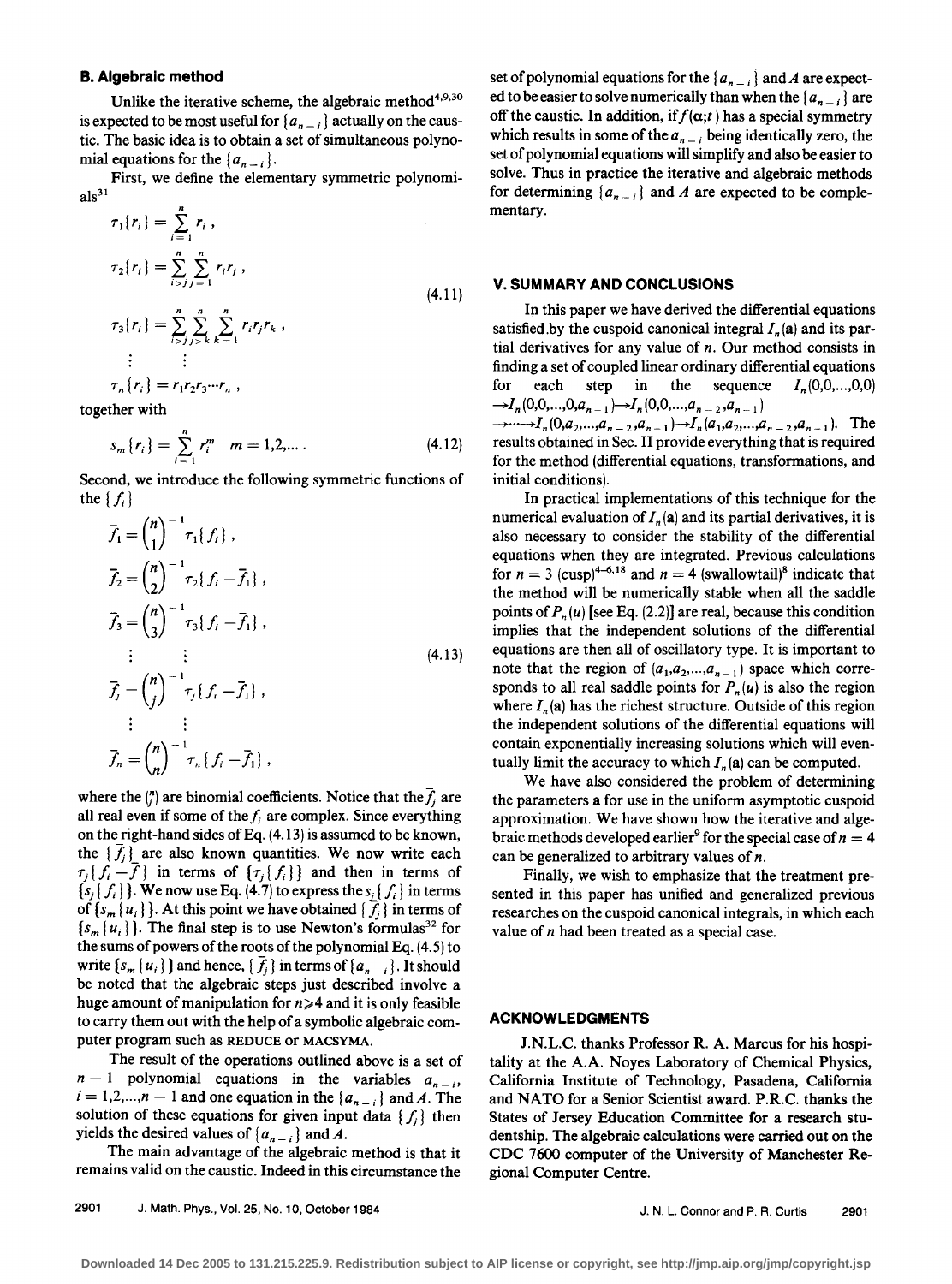### **B. Algebraic method**

Unlike the iterative scheme, the algebraic method<sup>4,9,30</sup> is expected to be most useful for  $\{a_{n-i}\}\$  actually on the caustic. The basic idea is to obtain a set of simultaneous polynomial equations for the  $\{a_{n-i}\}.$ 

First, we define the elementary symmetric polynomi $als<sup>31</sup>$ 

$$
\tau_1\{r_i\} = \sum_{i=1}^n r_i,
$$
  
\n
$$
\tau_2\{r_i\} = \sum_{i>j=1}^n \sum_{j=1}^n r_i r_j,
$$
  
\n
$$
\tau_3\{r_i\} = \sum_{i>j}^n \sum_{j>k}^n \sum_{k=1}^n r_i r_j r_k,
$$
  
\n
$$
\vdots \qquad \vdots
$$
  
\n
$$
\tau_n\{r_i\} = r_1 r_2 r_3 \cdots r_n,
$$
\n(4.11)

together with

$$
s_m\{r_i\} = \sum_{i=1}^n r_i^m \quad m = 1, 2, \dots \tag{4.12}
$$

Second, we introduce the following symmetric functions of the  $\{f_i\}$ 

$$
\bar{f}_1 = {n \choose 1}^{-1} \tau_1 \{f_i\},
$$
\n
$$
\bar{f}_2 = {n \choose 2}^{-1} \tau_2 \{f_i - \bar{f}_1\},
$$
\n
$$
\bar{f}_3 = {n \choose 3}^{-1} \tau_3 \{f_i - \bar{f}_1\},
$$
\n
$$
\vdots \qquad \vdots
$$
\n
$$
\bar{f}_j = {n \choose j}^{-1} \tau_j \{f_i - \bar{f}_1\},
$$
\n
$$
\vdots \qquad \vdots
$$
\n
$$
\bar{f}_n = {n \choose n}^{-1} \tau_n \{f_i - \bar{f}_1\},
$$
\n(4.13)

where the  $\binom{n}{i}$  are binomial coefficients. Notice that the  $f_i$  are all real even if some of the  $f_i$  are complex. Since everything on the right-hand sides of Eq.  $(4.13)$  is assumed to be known, the  $\{f_i\}$  are also known quantities. We now write each  $\tau_i$   $\{f_i - \overline{f}\}\$  in terms of  $\{\tau_i$   $\{f_i\}\}\$  and then in terms of  ${s_j f_i}$ . We now use Eq. (4.7) to express the  $s_i f_i$  in terms of  $\{s_m\{u_i\}\}\$ . At this point we have obtained  $\{\overline{f}_i\}$  in terms of  $\{s_m\{u_i\}\}\$ . The final step is to use Newton's formulas<sup>32</sup> for the sums of powers of the roots of the polynomial Eq. (4.5) to write  $\{s_m\{u_i\}\}\$ and hence,  $\{\bar{f}_i\}$  in terms of  $\{a_{n-i}\}\$ . It should be noted that the algebraic steps just described involve a huge amount of manipulation for  $n \geq 4$  and it is only feasible to carry them out with the help of a symbolic algebraic computer program such as REDUCE or MACSYMA.

The result of the operations outlined above is a set of  $n-1$  polynomial equations in the variables  $a_{n-1}$ ,  $i= 1,2,...,n-1$  and one equation in the  $\{a_{n-i}\}\$  and *A*. The solution of these equations for given input data  $\{f_j\}$  then yields the desired values of  $\{a_{n-i}\}\$  and A.

The main advantage of the algebraic method is that it remains valid on the caustic. Indeed in this circumstance the

2901 J. Math. Phys., Vol. 25, No. 10, October 1984

set of polynomial equations for the  $\{a_{n-i}\}\$  and A are expected to be easier to solve numerically than when the  $\{a_{n-1}\}\$ are off the caustic. In addition, if  $f(\alpha;t)$  has a special symmetry which results in some of the  $a_{n-i}$  being identically zero, the set of polynomial equations will simplify and also be easier to solve. Thus in practice the iterative and algebraic methods for determining  $\{a_{n-i}\}\$  and *A* are expected to be complementary.

### **V. SUMMARY AND CONCLUSIONS**

In this paper we have derived the differential equations satisfied by the cuspoid canonical integral  $I_n(\mathbf{a})$  and its partial derivatives for any value of *n.* Our method consists in finding a set of coupled linear ordinary differential equations for each step in the sequence  $I_n(0,0,...,0,0)$  $\rightarrow I_n (0,0,...,0,a_{n-1}) \rightarrow I_n (0,0,...,a_{n-2},a_{n-1})$ 

 $\rightarrow \cdots \rightarrow I_n (0, a_2, \ldots, a_{n-2}, a_{n-1}) \rightarrow I_n (a_1, a_2, \ldots, a_{n-2}, a_{n-1}).$  The results obtained in Sec. II provide everything that is required for the method (differential equations, transformations, and initial conditions).

In practical implementations of this technique for the numerical evaluation of  $I_n(\mathbf{a})$  and its partial derivatives, it is also necessary to consider the stability of the differential equations when they are integrated. Previous calculations for  $n = 3$  (cusp)<sup>4-6,18</sup> and  $n = 4$  (swallowtail)<sup>8</sup> indicate that the method will be numerically stable when all the saddle points of  $P_n(u)$  [see Eq. (2.2)] are real, because this condition implies that the independent solutions of the differential equations are then all of oscillatory type. It is important to note that the region of  $(a_1, a_2, ..., a_{n-1})$  space which corresponds to all real saddle points for  $P_n(u)$  is also the region where  $I_n$ (a) has the richest structure. Outside of this region the independent solutions of the differential equations will contain exponentially increasing solutions which will eventually limit the accuracy to which  $I_n(\mathbf{a})$  can be computed.

We have also considered the problem of determining the parameters a for use in the uniform asymptotic cuspoid approximation. We have shown how the iterative and algebraic methods developed earlier<sup>9</sup> for the special case of  $n = 4$ can be generalized to arbitrary values of *n.* 

Finally, we wish to emphasize that the treatment presented in this paper has unified and generalized previous researches on the cuspoid canonical integrals, in which each value of *n* had been treated as a special case.

### **ACKNOWLEDGMENTS**

J.N.L.C. thanks Professor R. A. Marcus for his hospitality at the A.A. Noyes Laboratory of Chemical Physics, California Institute of Technology, Pasadena, California and NATO for a Senior Scientist award. P.R.C. thanks the States of Jersey Education Committee for a research studentship. The algebraic calculations were carried out on the CDC 7600 computer of the University of Manchester Regional Computer Centre.

J. N. L. Connor and P. R. Curtis 2901